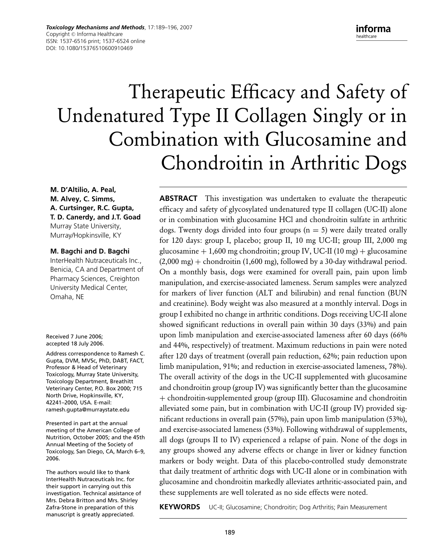*Toxicology Mechanisms and Methods*, 17:189–196, 2007 Copyright © Informa Healthcare ISSN: 1537-6516 print; 1537-6524 online DOI: 10.1080/15376510600910469

informa healthcare

# Therapeutic Efficacy and Safety of Undenatured Type II Collagen Singly or in Combination with Glucosamine and Chondroitin in Arthritic Dogs

**M. D'Altilio, A. Peal, M. Alvey, C. Simms, A. Curtsinger, R.C. Gupta, T. D. Canerdy, and J.T. Goad** Murray State University, Murray/Hopkinsville, KY

#### **M. Bagchi and D. Bagchi**

InterHealth Nutraceuticals Inc., Benicia, CA and Department of Pharmacy Sciences, Creighton University Medical Center, Omaha, NE

Received 7 June 2006; accepted 18 July 2006.

Address correspondence to Ramesh C. Gupta, DVM, MVSc, PhD, DABT, FACT, Professor & Head of Veterinary Toxicology, Murray State University, Toxicology Department, Breathitt Veterinary Center, P.O. Box 2000; 715 North Drive, Hopkinsville, KY, 42241–2000, USA. E-mail: ramesh.gupta@murraystate.edu

Presented in part at the annual meeting of the American College of Nutrition, October 2005; and the 45th Annual Meeting of the Society of Toxicology, San Diego, CA, March 6–9, 2006.

The authors would like to thank InterHealth Nutraceuticals Inc. for their support in carrying out this investigation. Technical assistance of Mrs. Debra Britton and Mrs. Shirley Zafra-Stone in preparation of this manuscript is greatly appreciated.

**ABSTRACT** This investigation was undertaken to evaluate the therapeutic efficacy and safety of glycosylated undenatured type II collagen (UC-II) alone or in combination with glucosamine HCl and chondroitin sulfate in arthritic dogs. Twenty dogs divided into four groups ( $n = 5$ ) were daily treated orally for 120 days: group I, placebo; group II, 10 mg UC-II; group III, 2,000 mg glucosamine  $+1,600$  mg chondroitin; group IV, UC-II (10 mg)  $+$  glucosamine  $(2,000 \text{ mg}) +$  chondroitin  $(1,600 \text{ mg})$ , followed by a 30-day withdrawal period. On a monthly basis, dogs were examined for overall pain, pain upon limb manipulation, and exercise-associated lameness. Serum samples were analyzed for markers of liver function (ALT and bilirubin) and renal function (BUN and creatinine). Body weight was also measured at a monthly interval. Dogs in group I exhibited no change in arthritic conditions. Dogs receiving UC-II alone showed significant reductions in overall pain within 30 days (33%) and pain upon limb manipulation and exercise-associated lameness after 60 days (66% and 44%, respectively) of treatment. Maximum reductions in pain were noted after 120 days of treatment (overall pain reduction, 62%; pain reduction upon limb manipulation, 91%; and reduction in exercise-associated lameness, 78%). The overall activity of the dogs in the UC-II supplemented with glucosamine and chondroitin group (group IV) was significantly better than the glucosamine + chondroitin-supplemented group (group III). Glucosamine and chondroitin alleviated some pain, but in combination with UC-II (group IV) provided significant reductions in overall pain (57%), pain upon limb manipulation (53%), and exercise-associated lameness (53%). Following withdrawal of supplements, all dogs (groups II to IV) experienced a relapse of pain. None of the dogs in any groups showed any adverse effects or change in liver or kidney function markers or body weight. Data of this placebo-controlled study demonstrate that daily treatment of arthritic dogs with UC-II alone or in combination with glucosamine and chondroitin markedly alleviates arthritic-associated pain, and these supplements are well tolerated as no side effects were noted.

**KEYWORDS** UC-II; Glucosamine; Chondroitin; Dog Arthritis; Pain Measurement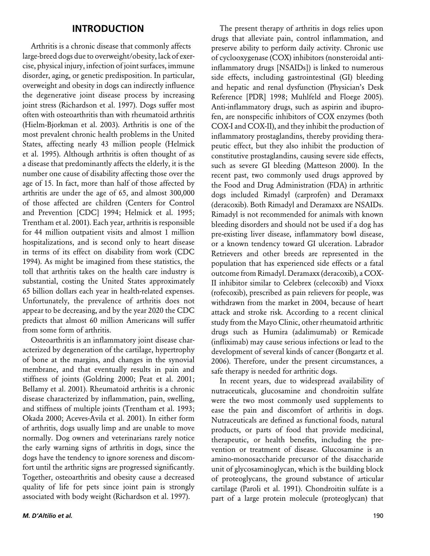#### **INTRODUCTION**

Arthritis is a chronic disease that commonly affects large-breed dogs due to overweight/obesity, lack of exercise, physical injury, infection of joint surfaces, immune disorder, aging, or genetic predisposition. In particular, overweight and obesity in dogs can indirectly influence the degenerative joint disease process by increasing joint stress (Richardson et al. 1997). Dogs suffer most often with osteoarthritis than with rheumatoid arthritis (Hielm-Bjorkman et al. 2003). Arthritis is one of the most prevalent chronic health problems in the United States, affecting nearly 43 million people (Helmick et al. 1995). Although arthritis is often thought of as a disease that predominantly affects the elderly, it is the number one cause of disability affecting those over the age of 15. In fact, more than half of those affected by arthritis are under the age of 65, and almost 300,000 of those affected are children (Centers for Control and Prevention [CDC] 1994; Helmick et al. 1995; Trentham et al. 2001). Each year, arthritis is responsible for 44 million outpatient visits and almost 1 million hospitalizations, and is second only to heart disease in terms of its effect on disability from work (CDC 1994). As might be imagined from these statistics, the toll that arthritis takes on the health care industry is substantial, costing the United States approximately 65 billion dollars each year in health-related expenses. Unfortunately, the prevalence of arthritis does not appear to be decreasing, and by the year 2020 the CDC predicts that almost 60 million Americans will suffer from some form of arthritis.

Osteoarthritis is an inflammatory joint disease characterized by degeneration of the cartilage, hypertrophy of bone at the margins, and changes in the synovial membrane, and that eventually results in pain and stiffness of joints (Goldring 2000; Peat et al. 2001; Bellamy et al. 2001). Rheumatoid arthritis is a chronic disease characterized by inflammation, pain, swelling, and stiffness of multiple joints (Trentham et al. 1993; Okada 2000; Aceves-Avila et al. 2001). In either form of arthritis, dogs usually limp and are unable to move normally. Dog owners and veterinarians rarely notice the early warning signs of arthritis in dogs, since the dogs have the tendency to ignore soreness and discomfort until the arthritic signs are progressed significantly. Together, osteoarthritis and obesity cause a decreased quality of life for pets since joint pain is strongly associated with body weight (Richardson et al. 1997).

inflammatory prostaglandins, thereby providing therapeutic effect, but they also inhibit the production of constitutive prostaglandins, causing severe side effects, such as severe GI bleeding (Matteson 2000). In the recent past, two commonly used drugs approved by the Food and Drug Administration (FDA) in arthritic dogs included Rimadyl (carprofen) and Deramaxx (deracoxib). Both Rimadyl and Deramaxx are NSAIDs. Rimadyl is not recommended for animals with known bleeding disorders and should not be used if a dog has pre-existing liver disease, inflammatory bowl disease, or a known tendency toward GI ulceration. Labrador Retrievers and other breeds are represented in the population that has experienced side effects or a fatal outcome from Rimadyl. Deramaxx (deracoxib), a COX-II inhibitor similar to Celebrex (celecoxib) and Vioxx (rofecoxib), prescribed as pain relievers for people, was withdrawn from the market in 2004, because of heart attack and stroke risk. According to a recent clinical study from the Mayo Clinic, other rheumatoid arthritic drugs such as Humira (adalimumab) or Remicade (infliximab) may cause serious infections or lead to the development of several kinds of cancer (Bongartz et al. 2006). Therefore, under the present circumstances, a safe therapy is needed for arthritic dogs. In recent years, due to widespread availability of

The present therapy of arthritis in dogs relies upon drugs that alleviate pain, control inflammation, and preserve ability to perform daily activity. Chronic use of cyclooxygenase (COX) inhibitors (nonsteroidal antiinflammatory drugs [NSAIDs]) is linked to numerous side effects, including gastrointestinal (GI) bleeding and hepatic and renal dysfunction (Physician's Desk Reference [PDR] 1998; Muhlfeld and Floege 2005). Anti-inflammatory drugs, such as aspirin and ibuprofen, are nonspecific inhibitors of COX enzymes (both COX-I and COX-II), and they inhibit the production of

nutraceuticals, glucosamine and chondroitin sulfate were the two most commonly used supplements to ease the pain and discomfort of arthritis in dogs. Nutraceuticals are defined as functional foods, natural products, or parts of food that provide medicinal, therapeutic, or health benefits, including the prevention or treatment of disease. Glucosamine is an amino-monosaccharide precursor of the disaccharide unit of glycosaminoglycan, which is the building block of proteoglycans, the ground substance of articular cartilage (Paroli et al. 1991). Chondroitin sulfate is a part of a large protein molecule (proteoglycan) that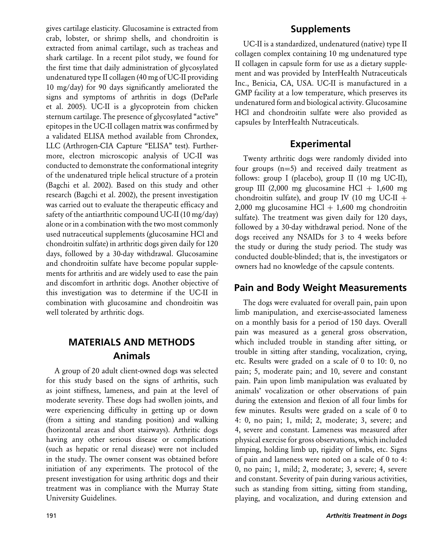gives cartilage elasticity. Glucosamine is extracted from crab, lobster, or shrimp shells, and chondroitin is extracted from animal cartilage, such as tracheas and shark cartilage. In a recent pilot study, we found for the first time that daily administration of glycosylated undenatured type II collagen (40 mg of UC-II providing 10 mg/day) for 90 days significantly ameliorated the signs and symptoms of arthritis in dogs (DeParle et al. 2005). UC-II is a glycoprotein from chicken sternum cartilage. The presence of glycosylated "active" epitopes in the UC-II collagen matrix was confirmed by a validated ELISA method available from Chrondex, LLC (Arthrogen-CIA Capture "ELISA" test). Furthermore, electron microscopic analysis of UC-II was conducted to demonstrate the conformational integrity of the undenatured triple helical structure of a protein (Bagchi et al. 2002). Based on this study and other research (Bagchi et al. 2002), the present investigation was carried out to evaluate the therapeutic efficacy and safety of the antiarthritic compound UC-II (10 mg/day) alone or in a combination with the two most commonly used nutraceutical supplements (glucosamine HCl and chondroitin sulfate) in arthritic dogs given daily for 120 days, followed by a 30-day withdrawal. Glucosamine and chondroitin sulfate have become popular supplements for arthritis and are widely used to ease the pain and discomfort in arthritic dogs. Another objective of this investigation was to determine if the UC-II in combination with glucosamine and chondroitin was well tolerated by arthritic dogs.

## **MATERIALS AND METHODS Animals**

A group of 20 adult client-owned dogs was selected for this study based on the signs of arthritis, such as joint stiffness, lameness, and pain at the level of moderate severity. These dogs had swollen joints, and were experiencing difficulty in getting up or down (from a sitting and standing position) and walking (horizontal areas and short stairways). Arthritic dogs having any other serious disease or complications (such as hepatic or renal disease) were not included in the study. The owner consent was obtained before initiation of any experiments. The protocol of the present investigation for using arthritic dogs and their treatment was in compliance with the Murray State University Guidelines.

## **Supplements**

UC-II is a standardized, undenatured (native) type II collagen complex containing 10 mg undenatured type II collagen in capsule form for use as a dietary supplement and was provided by InterHealth Nutraceuticals Inc., Benicia, CA, USA. UC-II is manufactured in a GMP facility at a low temperature, which preserves its undenatured form and biological activity. Glucosamine HCl and chondroitin sulfate were also provided as capsules by InterHealth Nutraceuticals.

## **Experimental**

Twenty arthritic dogs were randomly divided into four groups (n=5) and received daily treatment as follows: group I (placebo), group II (10 mg UC-II), group III (2,000 mg glucosamine HCl  $+$  1,600 mg chondroitin sulfate), and group IV (10 mg UC-II + 2,000 mg glucosamine  $HCl + 1,600$  mg chondroitin sulfate). The treatment was given daily for 120 days, followed by a 30-day withdrawal period. None of the dogs received any NSAIDs for 3 to 4 weeks before the study or during the study period. The study was conducted double-blinded; that is, the investigators or owners had no knowledge of the capsule contents.

## **Pain and Body Weight Measurements**

The dogs were evaluated for overall pain, pain upon limb manipulation, and exercise-associated lameness on a monthly basis for a period of 150 days. Overall pain was measured as a general gross observation, which included trouble in standing after sitting, or trouble in sitting after standing, vocalization, crying, etc. Results were graded on a scale of 0 to 10: 0, no pain; 5, moderate pain; and 10, severe and constant pain. Pain upon limb manipulation was evaluated by animals' vocalization or other observations of pain during the extension and flexion of all four limbs for few minutes. Results were graded on a scale of 0 to 4: 0, no pain; 1, mild; 2, moderate; 3, severe; and 4, severe and constant. Lameness was measured after physical exercise for gross observations, which included limping, holding limb up, rigidity of limbs, etc. Signs of pain and lameness were noted on a scale of 0 to 4: 0, no pain; 1, mild; 2, moderate; 3, severe; 4, severe and constant. Severity of pain during various activities, such as standing from sitting, sitting from standing, playing, and vocalization, and during extension and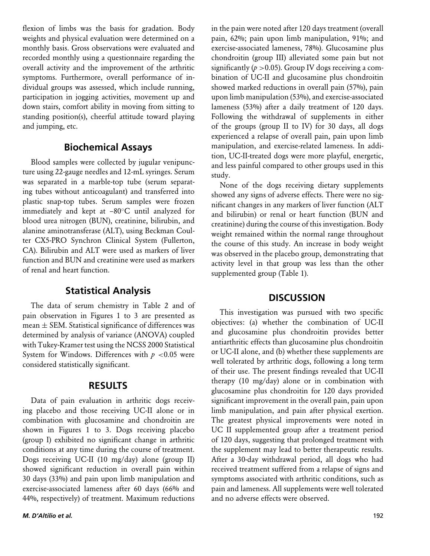flexion of limbs was the basis for gradation. Body weights and physical evaluation were determined on a monthly basis. Gross observations were evaluated and recorded monthly using a questionnaire regarding the overall activity and the improvement of the arthritic symptoms. Furthermore, overall performance of individual groups was assessed, which include running, participation in jogging activities, movement up and down stairs, comfort ability in moving from sitting to standing position(s), cheerful attitude toward playing and jumping, etc.

#### **Biochemical Assays**

Blood samples were collected by jugular venipuncture using 22-gauge needles and 12-mL syringes. Serum was separated in a marble-top tube (serum separating tubes without anticoagulant) and transferred into plastic snap-top tubes. Serum samples were frozen immediately and kept at –80◦C until analyzed for blood urea nitrogen (BUN), creatinine, bilirubin, and alanine aminotransferase (ALT), using Beckman Coulter CX5-PRO Synchron Clinical System (Fullerton, CA). Bilirubin and ALT were used as markers of liver function and BUN and creatinine were used as markers of renal and heart function.

## **Statistical Analysis**

The data of serum chemistry in Table 2 and of pain observation in Figures 1 to 3 are presented as mean  $\pm$  SEM. Statistical significance of differences was determined by analysis of variance (ANOVA) coupled with Tukey-Kramer test using the NCSS 2000 Statistical System for Windows. Differences with  $p < 0.05$  were considered statistically significant.

#### **RESULTS**

Data of pain evaluation in arthritic dogs receiving placebo and those receiving UC-II alone or in combination with glucosamine and chondroitin are shown in Figures 1 to 3. Dogs receiving placebo (group I) exhibited no significant change in arthritic conditions at any time during the course of treatment. Dogs receiving UC-II (10 mg/day) alone (group II) showed significant reduction in overall pain within 30 days (33%) and pain upon limb manipulation and exercise-associated lameness after 60 days (66% and 44%, respectively) of treatment. Maximum reductions

*M. D'Altilio et al.* 192

in the pain were noted after 120 days treatment (overall pain, 62%; pain upon limb manipulation, 91%; and exercise-associated lameness, 78%). Glucosamine plus chondroitin (group III) alleviated some pain but not significantly ( $p > 0.05$ ). Group IV dogs receiving a combination of UC-II and glucosamine plus chondroitin showed marked reductions in overall pain (57%), pain upon limb manipulation (53%), and exercise-associated lameness (53%) after a daily treatment of 120 days. Following the withdrawal of supplements in either of the groups (group II to IV) for 30 days, all dogs experienced a relapse of overall pain, pain upon limb manipulation, and exercise-related lameness. In addition, UC-II-treated dogs were more playful, energetic, and less painful compared to other groups used in this study.

None of the dogs receiving dietary supplements showed any signs of adverse effects. There were no significant changes in any markers of liver function (ALT and bilirubin) or renal or heart function (BUN and creatinine) during the course of this investigation. Body weight remained within the normal range throughout the course of this study. An increase in body weight was observed in the placebo group, demonstrating that activity level in that group was less than the other supplemented group (Table 1).

#### **DISCUSSION**

This investigation was pursued with two specific objectives: (a) whether the combination of UC-II and glucosamine plus chondroitin provides better antiarthritic effects than glucosamine plus chondroitin or UC-II alone, and (b) whether these supplements are well tolerated by arthritic dogs, following a long term of their use. The present findings revealed that UC-II therapy (10 mg/day) alone or in combination with glucosamine plus chondroitin for 120 days provided significant improvement in the overall pain, pain upon limb manipulation, and pain after physical exertion. The greatest physical improvements were noted in UC II supplemented group after a treatment period of 120 days, suggesting that prolonged treatment with the supplement may lead to better therapeutic results. After a 30-day withdrawal period, all dogs who had received treatment suffered from a relapse of signs and symptoms associated with arthritic conditions, such as pain and lameness. All supplements were well tolerated and no adverse effects were observed.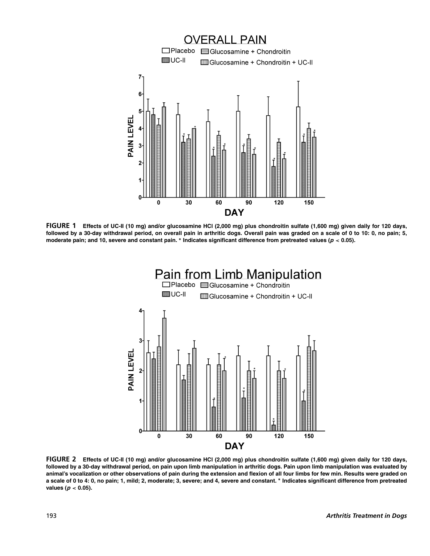

**FIGURE 1 Effects of UC-II (10 mg) and/or glucosamine HCl (2,000 mg) plus chondroitin sulfate (1,600 mg) given daily for 120 days, followed by a 30-day withdrawal period, on overall pain in arthritic dogs. Overall pain was graded on a scale of 0 to 10: 0, no pain; 5, moderate pain; and 10, severe and constant pain. ∗ Indicates significant difference from pretreated values (p** *<* **0.05).**



**FIGURE 2 Effects of UC-II (10 mg) and/or glucosamine HCl (2,000 mg) plus chondroitin sulfate (1,600 mg) given daily for 120 days, followed by a 30-day withdrawal period, on pain upon limb manipulation in arthritic dogs. Pain upon limb manipulation was evaluated by animal's vocalization or other observations of pain during the extension and flexion of all four limbs for few min. Results were graded on a scale of 0 to 4: 0, no pain; 1, mild; 2, moderate; 3, severe; and 4, severe and constant. ∗ Indicates significant difference from pretreated values (p** *<* **0.05).**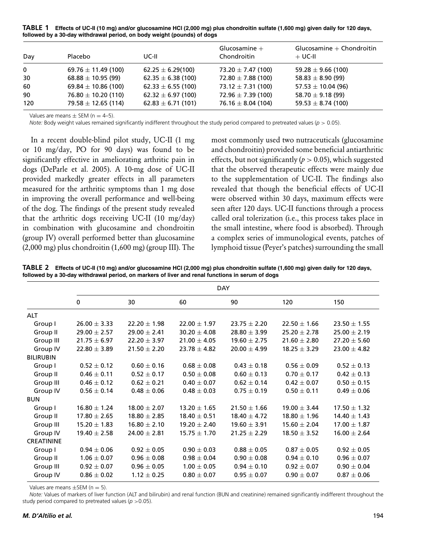**TABLE 1 Effects of UC-II (10 mg) and/or glucosamine HCl (2,000 mg) plus chondroitin sulfate (1,600 mg) given daily for 120 days, followed by a 30-day withdrawal period, on body weight (pounds) of dogs**

| Day         | Placebo                 | UC-II                  | Glucosamine $+$<br>Chondroitin | Glucosamine $+$ Chondroitin<br>$+$ UC-II |
|-------------|-------------------------|------------------------|--------------------------------|------------------------------------------|
| $\mathbf 0$ | $69.76 \pm 11.49$ (100) | $62.25 \pm 6.29(100)$  | 73.20 $\pm$ 7.47 (100)         | 59.28 $\pm$ 9.66 (100)                   |
| 30          | $68.88 \pm 10.95$ (99)  | $62.35 \pm 6.38$ (100) | $72.80 \pm 7.88$ (100)         | 58.83 $\pm$ 8.90 (99)                    |
| 60          | 69.84 $\pm$ 10.86 (100) | $62.33 \pm 6.55$ (100) | 73.12 $\pm$ 7.31 (100)         | $57.53 \pm 10.04$ (96)                   |
| 90          | $76.80 \pm 10.20$ (110) | $62.32 \pm 6.97$ (100) | $72.96 \pm 7.39$ (100)         | 58.70 $\pm$ 9.18 (99)                    |
| 120         | $79.58 \pm 12.65$ (114) | $62.83 \pm 6.71$ (101) | 76.16 $\pm$ 8.04 (104)         | 59.53 $\pm$ 8.74 (100)                   |

Values are means  $\pm$  SEM (n = 4-5).

*Note:* Body weight values remained significantly indifferent throughout the study period compared to pretreated values (*p* > 0.05).

In a recent double-blind pilot study, UC-II (1 mg or 10 mg/day, PO for 90 days) was found to be significantly effective in ameliorating arthritic pain in dogs (DeParle et al. 2005). A 10-mg dose of UC-II provided markedly greater effects in all parameters measured for the arthritic symptoms than 1 mg dose in improving the overall performance and well-being of the dog. The findings of the present study revealed that the arthritic dogs receiving UC-II (10 mg/day) in combination with glucosamine and chondroitin (group IV) overall performed better than glucosamine (2,000 mg) plus chondroitin (1,600 mg) (group III). The

most commonly used two nutraceuticals (glucosamine and chondroitin) provided some beneficial antiarthritic effects, but not significantly ( $p > 0.05$ ), which suggested that the observed therapeutic effects were mainly due to the supplementation of UC-II. The findings also revealed that though the beneficial effects of UC-II were observed within 30 days, maximum effects were seen after 120 days. UC-II functions through a process called oral tolerization (i.e., this process takes place in the small intestine, where food is absorbed). Through a complex series of immunological events, patches of lymphoid tissue (Peyer's patches) surrounding the small

**TABLE 2 Effects of UC-II (10 mg) and/or glucosamine HCl (2,000 mg) plus chondroitin sulfate (1,600 mg) given daily for 120 days, followed by a 30-day withdrawal period, on markers of liver and renal functions in serum of dogs**

|                   | <b>DAY</b>       |                  |                  |                  |                  |                  |  |
|-------------------|------------------|------------------|------------------|------------------|------------------|------------------|--|
|                   | 0                | 30               | 60               | 90               | 120              | 150              |  |
| <b>ALT</b>        |                  |                  |                  |                  |                  |                  |  |
| Group I           | $26.00 \pm 3.33$ | $22.20 \pm 1.98$ | $22.00 \pm 1.97$ | $23.75 \pm 2.20$ | $22.50 \pm 1.66$ | $23.50 \pm 1.55$ |  |
| Group II          | $29.00 \pm 2.57$ | $29.00 \pm 2.41$ | $30.20 \pm 4.08$ | $28.80 \pm 3.99$ | $25.20 \pm 2.78$ | $25.00 \pm 2.19$ |  |
| Group III         | $21.75 \pm 6.97$ | $22.20 \pm 3.97$ | $21.00 \pm 4.05$ | $19.60 \pm 2.75$ | $21.60 \pm 2.80$ | $27.20 \pm 5.60$ |  |
| Group IV          | $22.80 \pm 3.89$ | $21.50 \pm 2.20$ | $23.78 \pm 4.82$ | $20.00 \pm 4.99$ | $18.25 \pm 3.29$ | $23.00 \pm 4.82$ |  |
| <b>BILIRUBIN</b>  |                  |                  |                  |                  |                  |                  |  |
| Group I           | $0.52 \pm 0.12$  | $0.60 \pm 0.16$  | $0.68 \pm 0.08$  | $0.43 \pm 0.18$  | $0.56 \pm 0.09$  | $0.52 \pm 0.13$  |  |
| Group II          | $0.46 \pm 0.11$  | $0.52 \pm 0.17$  | $0.50 \pm 0.08$  | $0.60 \pm 0.13$  | $0.70 \pm 0.17$  | $0.42 \pm 0.13$  |  |
| Group III         | $0.46 \pm 0.12$  | $0.62 \pm 0.21$  | $0.40 \pm 0.07$  | $0.62 \pm 0.14$  | $0.42 \pm 0.07$  | $0.50 \pm 0.15$  |  |
| Group IV          | $0.56 \pm 0.14$  | $0.48 \pm 0.06$  | $0.48 \pm 0.03$  | $0.75 \pm 0.19$  | $0.50 \pm 0.11$  | $0.49 \pm 0.06$  |  |
| <b>BUN</b>        |                  |                  |                  |                  |                  |                  |  |
| Group I           | $16.80 \pm 1.24$ | $18.00 \pm 2.07$ | $13.20 \pm 1.65$ | $21.50 \pm 1.66$ | $19.00 \pm 3.44$ | $17.50 \pm 1.32$ |  |
| Group II          | $17.80 \pm 2.65$ | $18.80 \pm 2.85$ | $18.40 \pm 0.51$ | $18.40 \pm 4.72$ | $18.80 \pm 1.96$ | $14.40 \pm 1.43$ |  |
| Group III         | $15.20 \pm 1.83$ | $16.80 \pm 2.10$ | $19.20 \pm 2.40$ | $19.60 \pm 3.91$ | $15.60 \pm 2.04$ | $17.00 \pm 1.87$ |  |
| Group IV          | $19.40 \pm 2.58$ | $24.00 \pm 2.81$ | $15.75 \pm 1.70$ | $21.25 \pm 2.29$ | $18.50 \pm 3.52$ | $16.00 \pm 2.64$ |  |
| <b>CREATININE</b> |                  |                  |                  |                  |                  |                  |  |
| Group I           | $0.94 \pm 0.06$  | $0.92 \pm 0.05$  | $0.90 \pm 0.03$  | $0.88 \pm 0.05$  | $0.87 \pm 0.05$  | $0.92 \pm 0.05$  |  |
| Group II          | $1.06 \pm 0.07$  | $0.96 \pm 0.08$  | $0.98 \pm 0.04$  | $0.90 \pm 0.08$  | $0.94 \pm 0.10$  | $0.96 \pm 0.07$  |  |
| Group III         | $0.92 \pm 0.07$  | $0.96 \pm 0.05$  | $1.00 \pm 0.05$  | $0.94 \pm 0.10$  | $0.92 \pm 0.07$  | $0.90 \pm 0.04$  |  |
| Group IV          | $0.86 \pm 0.02$  | $1.12 \pm 0.25$  | $0.80\pm0.07$    | $0.95 \pm 0.07$  | $0.90 \pm 0.07$  | $0.87 \pm 0.06$  |  |

Values are means  $\pm$ SEM (n = 5).

*Note:* Values of markers of liver function (ALT and bilirubin) and renal function (BUN and creatinine) remained significantly indifferent throughout the study period compared to pretreated values ( $p > 0.05$ ).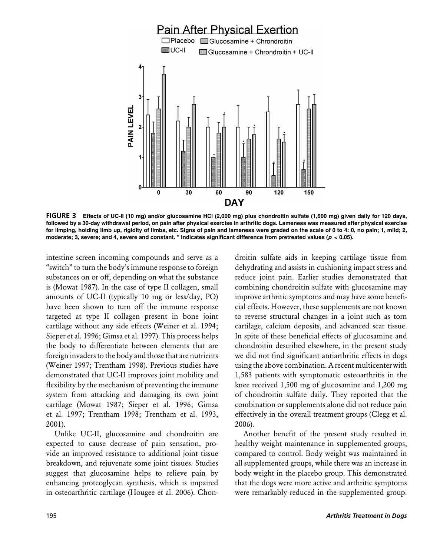

**FIGURE 3 Effects of UC-II (10 mg) and/or glucosamine HCl (2,000 mg) plus chondroitin sulfate (1,600 mg) given daily for 120 days, followed by a 30-day withdrawal period, on pain after physical exercise in arthritic dogs. Lameness was measured after physical exercise for limping, holding limb up, rigidity of limbs, etc. Signs of pain and lameness were graded on the scale of 0 to 4: 0, no pain; 1, mild; 2, moderate; 3, severe; and 4, severe and constant. ∗ Indicates significant difference from pretreated values (p** *<* **0.05).**

intestine screen incoming compounds and serve as a "switch" to turn the body's immune response to foreign substances on or off, depending on what the substance is (Mowat 1987). In the case of type II collagen, small amounts of UC-II (typically 10 mg or less/day, PO) have been shown to turn off the immune response targeted at type II collagen present in bone joint cartilage without any side effects (Weiner et al. 1994; Sieper et al. 1996; Gimsa et al. 1997). This process helps the body to differentiate between elements that are foreign invaders to the body and those that are nutrients (Weiner 1997; Trentham 1998). Previous studies have demonstrated that UC-II improves joint mobility and flexibility by the mechanism of preventing the immune system from attacking and damaging its own joint cartilage (Mowat 1987; Sieper et al. 1996; Gimsa et al. 1997; Trentham 1998; Trentham et al. 1993, 2001).

Unlike UC-II, glucosamine and chondroitin are expected to cause decrease of pain sensation, provide an improved resistance to additional joint tissue breakdown, and rejuvenate some joint tissues. Studies suggest that glucosamine helps to relieve pain by enhancing proteoglycan synthesis, which is impaired in osteoarthritic cartilage (Hougee et al. 2006). Chondroitin sulfate aids in keeping cartilage tissue from dehydrating and assists in cushioning impact stress and reduce joint pain. Earlier studies demonstrated that combining chondroitin sulfate with glucosamine may improve arthritic symptoms and may have some beneficial effects. However, these supplements are not known to reverse structural changes in a joint such as torn cartilage, calcium deposits, and advanced scar tissue. In spite of these beneficial effects of glucosamine and chondroitin described elsewhere, in the present study we did not find significant antiarthritic effects in dogs using the above combination. A recent multicenter with 1,583 patients with symptomatic osteoarthritis in the knee received 1,500 mg of glucosamine and 1,200 mg of chondroitin sulfate daily. They reported that the combination or supplements alone did not reduce pain effectively in the overall treatment groups (Clegg et al. 2006).

Another benefit of the present study resulted in healthy weight maintenance in supplemented groups, compared to control. Body weight was maintained in all supplemented groups, while there was an increase in body weight in the placebo group. This demonstrated that the dogs were more active and arthritic symptoms were remarkably reduced in the supplemented group.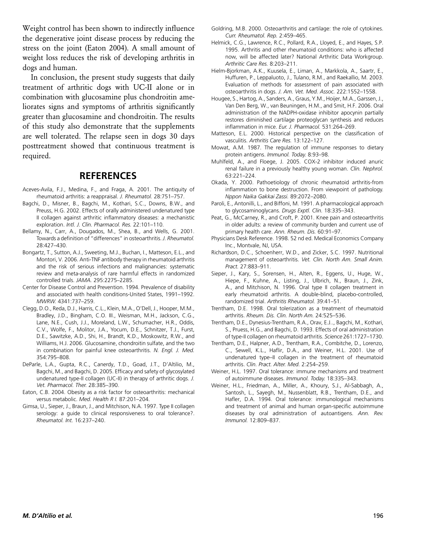Weight control has been shown to indirectly influence the degenerative joint disease process by reducing the stress on the joint (Eaton 2004). A small amount of weight loss reduces the risk of developing arthritis in dogs and human.

In conclusion, the present study suggests that daily treatment of arthritic dogs with UC-II alone or in combination with glucosamine plus chondroitin ameliorates signs and symptoms of arthritis significantly greater than glucosamine and chondroitin. The results of this study also demonstrate that the supplements are well tolerated. The relapse seen in dogs 30 days posttreatment showed that continuous treatment is required.

#### **REFERENCES**

- Aceves-Avila, F.J., Medina, F., and Fraga, A. 2001. The antiquity of rheumatoid arthritis: a reappraisal. *J. Rheumatol.* 28:751–757.
- Bagchi, D., Misner, B., Bagchi, M., Kothari, S.C., Downs, B.W., and Preuss, H.G. 2002. Effects of orally administered undenatured type II collagen against arthritic inflammatory diseases: a mechanistic exploration. *Intl. J. Clin. Pharmacol. Res.* 22:101–110.
- Bellamy, N., Carr, A., Dougados, M., Shea, B., and Wells, G. 2001. Towards a definition of "differences" in osteoarthritis. *J. Rheumatol.* 28:427–430.
- Bongartz, T., Sutton, A.J., Sweeting, M.J., Buchan, I., Matteson, E.L., and Montori, V. 2006. Anti-TNF antibody therapy in rheumatoid arthritis and the risk of serious infections and malignancies: systematic review and meta-analysis of rare harmful effects in randomized controlled trials. *JAMA.* 295:2275–2285.
- Center for Disease Control and Prevention. 1994. Prevalence of disability and associated with health conditions-United States, 1991–1992. *MWRW.* 4341:737–259.
- Clegg, D.O., Reda, D.J., Harris, C.L., Klein, M.A., O'Dell, J., Hooper, M.M., Bradley, J.D., Bingham, C.O. III., Weisman, M.H., Jackson, C.G., Lane, N.E., Cush, J.J., Moreland, L.W., Schumacher, H.R., Oddis, C.V., Wolfe, F., Molitor, J.A., Yocum, D.E., Schnitzer, T.J., Furst, D.E., Sawitzke, A.D., Shi, H., Brandt, K.D., Moskowitz, R.W., and Williams, H.J. 2006. Glucosamine, chondroitin sulfate, and the two in combination for painful knee osteoarthritis. *N. Engl. J. Med.* 354:795–808.
- DeParle, L.A., Gupta, R.C., Canerdy, T.D., Goad, J.T., D'Altilio, M., Bagchi, M., and Bagchi, D. 2005. Efficacy and safety of glycosylated undenatured type-II collagen (UC-II) in therapy of arthritic dogs. *J. Vet. Pharmacol. Ther.* 28:385–390.
- Eaton, C.B. 2004. Obesity as a risk factor for osteoarthritis: mechanical versus metabolic. *Med. Health R I.* 87:201–204.
- Gimsa, U., Sieper, J., Braun, J., and Mitchison, N.A. 1997. Type II collagen serology: a guide to clinical responsiveness to oral tolerance?. *Rheumatol. Int.* 16:237–240.
- Goldring, M.B. 2000. Osteoarthritis and cartilage: the role of cytokines. *Curr. Rheumatol. Rep.* 2:459–465.
- Helmick, C.G., Lawrence, R.C., Pollard, R.A., Lloyed, E., and Hayes, S.P. 1995. Arthritis and other rheumatoid conditions: who is affected now, will be affected later? National Arthritic Data Workgroup. *Arthritic Care Res.* 8:203–211.
- Hielm-Bjorkman, A.K., Kuusela, E., Liman, A., Markkola, A., Saartr, E., Huffuren, P., Leppaluoto, J., Tulano, R.M., and Raekallio, M. 2003. Evaluation of methods for assessment of pain associated with osteoarthritis in dogs. *J. Am. Vet. Med. Assoc.* 222:1552–1558.
- Hougee, S., Hartog, A., Sanders, A., Graus, Y.M., Hoijer, M.A., Garssen, J., Van Den Berg, W., van Beuningen, H.M., and Smit, H.F. 2006. Oral administration of the NADPH-oxidase inhibitor apocynin partially restores diminished cartilage proteoglycan synthesis and reduces inflammation in mice. *Eur. J. Pharmacol.* 531:264–269.
- Matteson, E.L. 2000. Historical perspective on the classification of vasculitis. *Arthritis Care Res.* 13:122–127.
- Mowat, A.M. 1987. The regulation of immune responses to dietary protein antigens. *Immunol. Today.* 8:93–98.
- Muhlfeld, A., and Floege, J. 2005. COX-2 inhibitor induced anuric renal failure in a previously healthy young woman. *Clin. Nephrol.* 63:221–224.
- Okada, Y. 2000. Pathoetiology of chronic rheumatoid arthritis-from inflammation to bone destruction. From viewpoint of pathology. *Nppon Naika Gakkai Zassi.* 89:2072–2080.
- Paroli, E., Antonilli, L., and Biffoni, M. 1991. A pharmacological approach to glycosaminoglycans. *Drugs Exptl. Clin.* 18:335–343.
- Peat, G., McCarney, R., and Croft, P. 2001. Knee pain and osteoarthritis in older adults: a review of community burden and current use of primary health care. *Ann. Rheum. Dis.* 60:91–97.
- Physicians Desk Reference. 1998. 52 nd ed. Medical Economics Company Inc., Montvale, NJ, USA.
- Richardson, D.C., Schoenherr, W.D., and Zicker, S.C. 1997. Nutritional management of osteoarthritis. *Vet. Clin. North Am. Small Anim. Pract.* 27:883–911.
- Sieper, J., Kary, S., Sorensen, H., Alten, R., Eggens, U., Huge, W., Hiepe, F., Kuhne, A., Listing, J., Ulbrich, N., Braun, J., Zink, A., and Mitchison, N. 1996. Oral type II collagen treatment in early rheumatoid arthritis. A double-blind, placebo-controlled, randomized trial. *Arthritis Rheumatol.* 39:41–51.
- Trentham, D.E. 1998. Oral tolerization as a treatment of rheumatoid arthritis. *Rheum. Dis. Clin. North Am.* 24:525–536.
- Trentham, D.E., Dynesius-Trentham, R.A., Orav, E.J.., Bagchi, M., Kothari, S., Pruess, H.G., and Bagchi, D. 1993. Effects of oral administration of type-II collagen on rheumatoid arthritis. *Science* 261:1727–1730.
- Trentham, D.E., Halpner, A.D., Trentham, R.A., Combitche, D., Lorenzo, C., Sewell, K.L., Haflir, D.A., and Weiner, H.L. 2001. Use of undenatured type–II collagen in the treatment of rheumatoid arthritis. *Clin. Pract. Alter. Med.* 2:254–259.
- Weiner, H.L. 1997. Oral tolerance: immune mechanisms and treatment of autoimmune diseases. *Immunol. Today.* 18:335–343.
- Weiner, H.L., Friedman, A., Miller, A., Khoury, S.J., Al-Sabbagh, A., Santosh, L., Sayegh, M., Nussenblatt, R.B., Trentham, D.E., and Hafler, D.A. 1994. Oral tolerance: immunological mechanisms and treatment of animal and human organ-specific autoimmune diseases by oral administration of autoantigens. *Ann. Rev. Immunol.* 12:809–837.